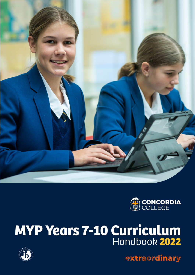



# **MYP Years 7-10 Curriculum** Handbook **2022**



extracrdinary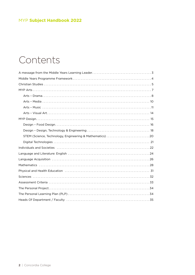# <span id="page-1-0"></span>Contents

| STEM (Science, Technology, Engineering & Mathematics) 20                                                                                                                                                                       |
|--------------------------------------------------------------------------------------------------------------------------------------------------------------------------------------------------------------------------------|
|                                                                                                                                                                                                                                |
|                                                                                                                                                                                                                                |
|                                                                                                                                                                                                                                |
|                                                                                                                                                                                                                                |
|                                                                                                                                                                                                                                |
| Physical and Health Education (and according to the control of the state of the state of the state of the state of the state of the state of the state of the state of the state of the state of the state of the state of the |
|                                                                                                                                                                                                                                |
|                                                                                                                                                                                                                                |
|                                                                                                                                                                                                                                |
|                                                                                                                                                                                                                                |
|                                                                                                                                                                                                                                |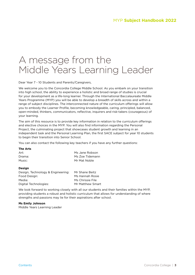# <span id="page-2-0"></span>A message from the Middle Years Learning Leader

Dear Year 7 - 10 Students and Parents/Caregivers,

We welcome you to the Concordia College Middle School. As you embark on your transition into high school, the ability to experience a holistic and broad range of studies is crucial for your development as a life-long learner. Through the International Baccalaureate Middle Years Programme (MYP) you will be able to develop a breadth of skills across and within a range of subject disciplines. The interconnected nature of the curriculum offerings will allow you to embody the Learner Profile, becoming knowledgeable, caring, principled, balanced, open-minded, thinkers, communicators, reflective, inquirers and risk-takers (courageous) of your learning.

The aim of this resource is to provide key information in relation to the curriculum offerings and elective choices in the MYP. You will also find information regarding the Personal Project, the culminating project that showcases student growth and learning in an independent task and the Personal Learning Plan, the first SACE subject for year 10 students to begin their transition into Senior School.

You can also contact the following key teachers if you have any further questions:

| <b>The Arts</b>                   |                  |
|-----------------------------------|------------------|
| Art:                              | Ms Jane Robson   |
| Drama:                            | Ms Zoe Tidemann  |
| Music:                            | Mr Mat Noble     |
| Design                            |                  |
| Design, Technology & Engineering: | Mr Shane Beitz   |
| Food Design:                      | Ms Hannah Rosie  |
| Media:                            | Ms Chrissie File |
| Digital Technologies:             | Mr Matthew Smart |

We look forward to working closely with all our students and their families within the MYP, providing students a robust and holistic curriculum that allows for understanding of where strengths and passions may lie for their aspirations after school.

#### **Ms Emily Johnson**

Middle Years Learning Leader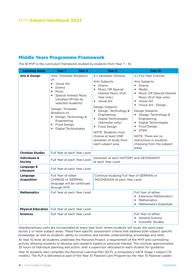### <span id="page-3-0"></span>Middle Years Programme Framework

The IB MYP is the curriculum framework studied by students from Year 7 – 10

| <b>Learning Areas</b>                      | Year <sub>7</sub><br>Year <sub>8</sub>                                                                                                                                                                                                                               | Year 9                                                                                                                                                                                                                                                                                                                               | Year 10                                                                                                                                                                                                                                                                                                                                                   |
|--------------------------------------------|----------------------------------------------------------------------------------------------------------------------------------------------------------------------------------------------------------------------------------------------------------------------|--------------------------------------------------------------------------------------------------------------------------------------------------------------------------------------------------------------------------------------------------------------------------------------------------------------------------------------|-----------------------------------------------------------------------------------------------------------------------------------------------------------------------------------------------------------------------------------------------------------------------------------------------------------------------------------------------------------|
| <b>Arts &amp; Design</b>                   | 'Arts' Trimester Rotations                                                                                                                                                                                                                                           | 4 x Semester Choices:                                                                                                                                                                                                                                                                                                                | 2 x Full Year Choices:                                                                                                                                                                                                                                                                                                                                    |
|                                            | of:<br>Visual Art<br>٠<br>Drama<br>٠<br>Music<br>٠<br><b>Special Interest Music</b><br>٠<br>(studied off-line by<br>selected students)<br>'Design' Trimester<br>Rotations of:<br>+ Design, Technology &<br>Engineering<br>Food Design<br>٠<br>+ Digital Technologies | Arts Subjects:<br>Drama<br>٠<br>+ Music OR Special<br>Interest Music (Full<br>Year only)<br>Visual Art<br>÷.<br>Design Subjects:<br>+ Design, Technology &<br>Engineering<br>+ Digital Technologies<br>(Semester only)<br>+ Food Design<br>NOTE: Students must<br>choose at least ONE<br>semester of study from<br>each subject area | Arts Subjects:<br>Drama<br>٠<br>Media<br>٠<br>+ Music OR Special Interest<br>Music (Full Year only)<br>Visual Art<br>٠<br>+ Visual Art - Design<br>Design Subjects:<br>+ Design, Technology &<br>Engineering<br>+ Digital Technologies<br>+ Food Design<br>+ STEM<br>NOTE: There are no<br>restrictions in students<br>choosing from the subject<br>areas |
| <b>Christian Studies</b>                   | Full Year at each Year Level                                                                                                                                                                                                                                         |                                                                                                                                                                                                                                                                                                                                      |                                                                                                                                                                                                                                                                                                                                                           |
| <b>Individuals &amp;</b><br><b>Society</b> | Full Year at each Year Level                                                                                                                                                                                                                                         | Semester of each HISTORY and GEOGRAPHY<br>at each Year Level                                                                                                                                                                                                                                                                         |                                                                                                                                                                                                                                                                                                                                                           |
| Language &<br><b>Literature</b>            | Full Year at each Year Level                                                                                                                                                                                                                                         |                                                                                                                                                                                                                                                                                                                                      |                                                                                                                                                                                                                                                                                                                                                           |
| Language<br><b>Acquisition</b>             | Full Year of either<br><b>CHINESE or GERMAN</b><br>language will be continued<br>through MYP                                                                                                                                                                         | Continue studying Full Year of GERMAN or<br><b>INDONESIAN at each Year Level</b>                                                                                                                                                                                                                                                     |                                                                                                                                                                                                                                                                                                                                                           |
| <b>Mathematics</b>                         | Full Year at each Year Level                                                                                                                                                                                                                                         |                                                                                                                                                                                                                                                                                                                                      | Full Year of either:<br><b>Extension Mathematics</b><br>٠<br>Mathematics<br>٠<br><b>Mathematics Essentials</b>                                                                                                                                                                                                                                            |
| <b>Physical Education</b>                  | Full Year at each Year Level                                                                                                                                                                                                                                         |                                                                                                                                                                                                                                                                                                                                      |                                                                                                                                                                                                                                                                                                                                                           |
| <b>Sciences</b>                            | Full Year at each Year Level                                                                                                                                                                                                                                         |                                                                                                                                                                                                                                                                                                                                      | Full Year of either:<br><b>General Science</b><br>٠<br>Scientific Studies<br>٠                                                                                                                                                                                                                                                                            |

Interdisciplinary units are incorporated at every year level, where students will study the same topic across 2 or more subject areas. These have specific assessment criteria that address both subject specific knowledge, as well as students' ability to combine and transfer understanding, knowledge and skills.

At Year 10 level, all students undertake the Personal Project, a requirement of the MYP and culminating activity allowing students to develop and research based on personal interest. This involves approximately 25 hours of individual planning and action, with a supervisor allocated to each student for guidance.

Year 10 students also complete the Personal Learning Plan (PLP), a compulsory SACE Stage 1 subject (10 credits). The PLP is delivered as part of the Year 10 Pastoral Care Program by the Year 10 Pastoral Leader.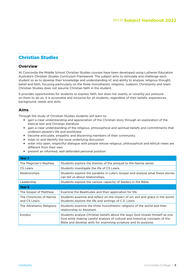#### <span id="page-4-0"></span>Christian Studies

#### **Overview**

At Concordia the Middle School Christian Studies courses have been developed using Lutheran Education Australia's *Christian Studies Curriculum Framework*. The subject aims to stimulate and challenge each student so as to develop their knowledge and understanding of, and ability to analyse, religious thought, belief and faith, focusing particularly on the three monotheistic religions; Judaism, Christianity and Islam. Christian Studies does not assume Christian faith in the student.

It provides opportunities for students to express faith, but does not overtly or covertly put pressure on them to do so. It is accessible and inclusive for all students, regardless of their beliefs, experiences, background, needs and skills.

#### **Aims**

Through the study of Christian Studies students will learn to:

- **+** gain a clear understanding and appreciation of the Christian story through an exploration of the biblical text and Christian literature
- **+** gain a clear understanding of the religious, philosophical and spiritual beliefs and commitments that underpin people's life and worldview
- **+** become articulate, empathic and discerning members of their community
- **+** listen to and identify the issue underlying discussion
- **+** enter into open, respectful dialogue with people whose religious, philosophical and ethical views are different from their own
- **+** present an informed, well defended personal position

| Year 7                                   |                                                                                                                                                                                                                                   |
|------------------------------------------|-----------------------------------------------------------------------------------------------------------------------------------------------------------------------------------------------------------------------------------|
| The Magician's Nephew                    | Students explore the themes of the prequel to the Narnia series.                                                                                                                                                                  |
| CS Lewis                                 | Students investigate the life of CS Lewis.                                                                                                                                                                                        |
| Relationships                            | Students explore the parables in Luke's Gospel and analyse what these stories<br>can tell us about relationships.                                                                                                                 |
| Leadership                               | Students explore the various capacity of leaders in the Bible.                                                                                                                                                                    |
| Year <sub>8</sub>                        |                                                                                                                                                                                                                                   |
| The Gospel of Matthew                    | Examine the Beatitudes and their application for life.                                                                                                                                                                            |
| The Chronicles of Narnia<br>and CS Lewis | Students examine and reflect on the impact of sin, evil and grace in the world.<br>Students explore the life and writings of C.S. Lewis                                                                                           |
| The Abrahamic Religions                  | Students examine the three monotheistic religions of the world and their<br>relationship to Abraham.                                                                                                                              |
| Exodus                                   | Students analyse Christian beliefs about the ways God reveals himself as one<br>God while making careful analysis of cultural and historical concepts of the<br>Bible and develop skills for examining scripture and its purpose. |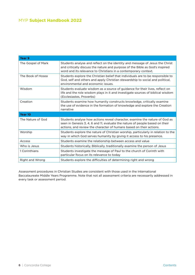| Year 9             |                                                                                                                                                                                                                                    |
|--------------------|------------------------------------------------------------------------------------------------------------------------------------------------------------------------------------------------------------------------------------|
| The Gospel of Mark | Students analyse and reflect on the identity and message of Jesus the Christ<br>and critically discuss the nature and purpose of the Bible as God's inspired<br>word and its relevance to Christians in a contemporary context.    |
| The Book of Hosea  | Students explore the Christian belief that individuals are to be responsible to<br>God, self and others and apply Christian stewardship to social and political.<br>environmental and economic issues.                             |
| Wisdom             | Students evaluate wisdom as a source of guidance for their lives, reflect on<br>life and the role wisdom plays in it and investigate sources of biblical wisdom<br>(Ecclesiastes, Proverbs)                                        |
| Creation           | Students examine how humanity constructs knowledge, critically examine<br>the use of evidence in the formation of knowledge and explore the Creation<br>narrative                                                                  |
| Year 10            |                                                                                                                                                                                                                                    |
| The Nature of God  | Students analyse how actions reveal character, examine the nature of God as<br>seen in Genesis 3, 4, 6 and 11, evaluate the nature of people based on their<br>actions, and review the character of humans based on their actions. |
| Worship            | Students explore the nature of Christian worship, particularly in relation to the<br>way in which God serves humanity by giving it access to his presence.                                                                         |
| Access             | Students examine the relationship between access and value                                                                                                                                                                         |
| Who is Jesus       | Students historically, Biblically, traditionally examine the person of Jesus                                                                                                                                                       |
| 1 Corinthians      | Students investigate the message of Paul to the church of Corinth with<br>particular focus on its relevance to today                                                                                                               |
| Right and Wrong    | Students explore the difficulties of determining right and wrong                                                                                                                                                                   |

Assessment procedures in Christian Studies are consistent with those used in the International Baccalaureate Middle Years Programme. Note that not all assessment criteria are necessarily addressed in every task or assessment period.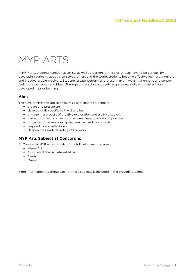# <span id="page-6-0"></span>MYP ARTS

In MYP arts, students function as artists as well as learners of the arts. Artists have to be curious. By developing curiosity about themselves, others and the world, students become effective learners, inquirers and creative problem-solvers. Students create, perform and present arts in ways that engage and convey feelings, experiences and ideas. Through this practice, students acquire new skills and master those developed in prior learning.

#### **Aims**

The aims of MYP arts are to encourage and enable students to:

- **+** create and present art
- **+** develop skills specific to the discipline
- **+** engage in a process of creative exploration and (self-) discovery
- **+** make purposeful connections between investigation and practice
- **+** understand the relationship between art and its contexts
- **+** respond to and reflect on art
- **+** deepen their understanding of the world.

#### **MYP Arts Subject at Concordia:**

At Concordia, MYP Arts consists of the following learning areas:

- **+** Visual Art
- **+** Music AND Special Interest Music
- **+** Media
- **+** Drama

More information regarding each of these subjects is included in the preceding pages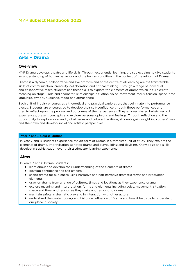### <span id="page-7-0"></span>

### Arts – Drama

#### **Overview**

MYP Drama develops theatre and life skills. Through experiential learning, the subject aims to give students an understanding of human behaviour and the human condition in the context of the artform of Drama.

Drama is a dynamic, collaborative and live art form and at the centre of all learning are the transferable skills of communication, creativity, collaboration and critical thinking. Through a range of individual and collaborative tasks, students use these skills to explore the elements of drama which in turn create meaning on stage – role and character, relationships, situation, voice, movement, focus, tension, space, time, language, symbol, audience, mood and atmosphere.

Each unit of inquiry encourages a theoretical and practical exploration, that culminate into performance pieces. Students are encouraged to develop their self-confidence through these performances and then to reflect upon the process and outcomes of their experiences. They express shared beliefs, record experiences, present concepts and explore personal opinions and feelings. Through reflection and the opportunity to explore local and global issues and cultural traditions, students gain insight into others' lives and their own and develop social and artistic perspectives.

#### **Year 7 and 8 Course Outline**

In Year 7 and 8, students experience the art form of Drama in a trimester unit of study. They explore the elements of drama, improvisation, scripted drama and playbuilding and devising. Knowledge and skills develop in sophistication over their 2 trimester learning experience.

#### **Aims**

In Years 7 and 8 Drama, students:

- **+** learn about and develop their understanding of the elements of drama
- **+** develop confidence and self esteem
- **+** shape drama for audiences using narrative and non-narrative dramatic forms and production elements
- **+** draw on drama from a range of cultures, times and locations as they experience drama
- **+** explore meaning and interpretation, forms and elements including voice, movement, situation, space and time, and tension as they make and respond to drama
- **+** maintain safety in dramatic play and in interaction with other actors
- **+** understand the contemporary and historical influence of Drama and how it helps us to understand our place in society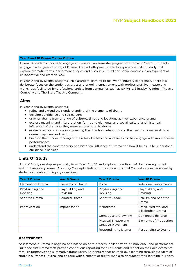#### **Year 9 and 10 Drama Course Outline**

In Year 9, students choose to engage in a one or two semester program of Drama. In Year 10, students engage in a full year of study of Drama. Across both years, students experience units of study that explore dramatic forms, performance styles and historic, cultural and social contexts in an experiential, collaborative and creative way.

In Year 9 and 10 Drama, students link classroom learning to real world industry experience. There is a deliberate focus on the student as artist and ongoing engagement with professional live theatre and workshops facilitated by professional artists from companies such as SAYArts, Slingsby, Windmill Theatre Company and The State Theatre Company.

#### **Aims**

In Year 9 and 10 Drama, students:

- **+** refine and extend their understanding of the elements of drama
- **+** develop confidence and self esteem
- **+** draw on drama from a range of cultures, times and locations as they experience drama
- **+** explore meaning and interpretation, forms and elements, and social, cultural and historical influences of drama as they make and respond to drama
- **+** evaluate actors' success in expressing the directors' intentions and the use of expressive skills in drama they view and perform
- **+** build on their understanding of the roles of artists and audiences as they engage with more diverse performances
- **+** understand the contemporary and historical influence of Drama and how it helps us to understand our place in society

#### **Units Of Study**

Units of Study develop sequentially from Years 7 to 10 and explore the artform of drama using historic and contemporary lenses. MYP Key Concepts, Related Concepts and Global Contexts are experienced by students in relation to inquiry questions.

| <b>Year 7 Drama</b>          | <b>Year 8 Drama</b>          | <b>Year 9 Drama</b>                       | Year 10 Drama                            |
|------------------------------|------------------------------|-------------------------------------------|------------------------------------------|
| Elements of Drama            | Elements of Drama            | Voice                                     | Individual Performance                   |
| Playbuilding and<br>Devising | Playbuilding and<br>Devising | Playbuilding and<br>Devising              | Playbuilding and<br>Devising             |
| Scripted Drama               | <b>Scripted Drama</b>        | Script to Stage                           | Realism and Scripted<br>Drama            |
| Improvisation                | Improvisation                | Melodrama                                 | Greek, Medieval and<br>Elizabethan Drama |
|                              |                              | Comedy and Clowning                       | Commedia dell'arte                       |
|                              |                              | Physical Theatre and<br>Creative Movement | Elements of Production                   |
|                              |                              | Responding to Drama                       | Responding to Drama                      |

#### **Assessment**

Assessment in Drama is ongoing and based on both process- collaborative or individual- and performance. Our specialist Drama staff provide continuous reporting for all students and reflect on their achievements through formative and summative frameworks. Students reflect on their own learning throughout units of study in a Process Journal and engage with elements of digital media to document their learning journeys.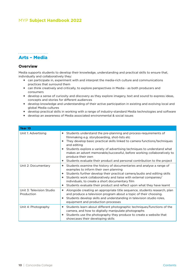#### <span id="page-9-0"></span>Arts – Media

#### **Overview**

Media supports students to develop their knowledge, understanding and practical skills to ensure that, individually and collaboratively they:

- **+** can participate in, experiment with and interpret the media-rich culture and communications practices that surround them
- **+** can think creatively and critically, to explore perspectives in Media as both producers and consumers
- **+** develop a sense of curiosity and discovery as they explore imagery, text and sound to express ideas, concepts and stories for different audiences
- **+** develop knowledge and understanding of their active participation in existing and evolving local and global Media cultures
- **+** develop practical skills in working with a range of industry-standard Media technologies and software
- **+** develop an awareness of Media associated environmental & social issues

| Year 10                                 |                                                                                                                                                                                                                                                                                                                                                                                                                                                                                                   |
|-----------------------------------------|---------------------------------------------------------------------------------------------------------------------------------------------------------------------------------------------------------------------------------------------------------------------------------------------------------------------------------------------------------------------------------------------------------------------------------------------------------------------------------------------------|
| Unit 1: Advertising                     | Students understand the pre-planning and process-requirements of<br>$+$<br>filmmaking e.g. storyboarding, shot-lists etc<br>They develop basic practical skills linked to camera functions/techniques<br>٠<br>and editing<br>+ Students explore a variety of advertising techniques to understand what<br>makes an advert memorable/successful, before working collaboratively to<br>produce their own<br>Students evaluate their product and personal contribution to the project<br>$\ddotmark$ |
| Unit 2: Documentary                     | Students examine the history of documentaries and analyse a range of<br>$\ddot{\phantom{1}}$<br>examples to inform their own planning<br>Students further develop their practical camera/audio and editing skills<br>+ Students work collaboratively and liaise with external companies/<br>individuals, to create a short documentary film<br>Students evaluate their product and reflect upon what they have learnt<br>$\ddot{\phantom{1}}$                                                     |
| Unit 3: Television Studio<br>Production | Alongside creating an appropriate title sequence, students research, plan<br>and produce a television program about a topic of their choosing.<br>Students develop skills and understanding in television studio roles,<br>$\ddot{\phantom{1}}$<br>equipment and production processes                                                                                                                                                                                                             |
| Unit 4: Photography                     | + Students learn about different photographic techniques/functions of the<br>camera, and how to digitally manipulate photographs<br>Students use the photography they produce to create a website that<br>$\ddot{\phantom{1}}$<br>showcases their developing skills                                                                                                                                                                                                                               |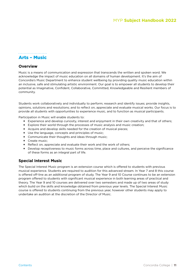#### <span id="page-10-0"></span>Arts – Music

#### **Overview**

Music is a means of communication and expression that transcends the written and spoken word. We acknowledge the impact of music education on all domains of human development. It's the aim of Concordia's Music Department to enhance student wellbeing by providing quality music education within an inclusive, safe and stimulating artistic environment. Our goal is to empower all students to develop their potential as Imaginative, Confident, Collaborative, Committed, Knowledgeable and Resilient members of community.

Students work collaboratively and individually to perform; research and identify issues; provide insights, opinions, solutions and resolutions; and to reflect on, appreciate and evaluate musical works. Our focus is to provide all students with opportunities to experience music, and to function as musical participants.

Participation in Music will enable students to:

- **+** Experience and develop curiosity, interest and enjoyment in their own creativity and that of others;
- **+** Explore their world through the processes of music analysis and music creation;
- **+** Acquire and develop skills needed for the creation of musical pieces;
- **+** Use the language, concepts and principles of music;
- **+** Communicate their thoughts and ideas through music;
- **+** Create music;
- **+** Reflect on, appreciate and evaluate their work and the work of others;
- **+** Develop receptiveness to music forms across time, place and cultures, and perceive the significance of these forms as an integral part of life.

#### **Special Interest Music**

The Special Interest Music program is an extension course which is offered to students with previous musical experience. Students are required to audition for this advanced stream. In Year 7 and 8 this course is offered off-line as an additional program of study. The Year 9 and 10 Course continues to be an extension program offered to students with significant musical experience in both learning areas of practical and theory. The Year 9 and 10 courses are delivered over two semesters and made up of two areas of study which build on the skills and knowledge obtained from previous year levels. The Special Interest Music course is offered to students continuing from the previous year, however other students may apply to undertake an audition at the discretion of the Director of Music.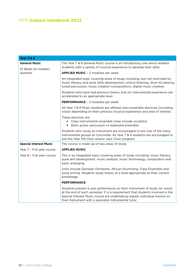| <b>Year 7 &amp; 8</b>                                    |                                                                                                                                                                                                                                                                                                        |
|----------------------------------------------------------|--------------------------------------------------------------------------------------------------------------------------------------------------------------------------------------------------------------------------------------------------------------------------------------------------------|
| <b>General Music</b><br>13 Week (tri-mester)<br>duration | The Year 7 & 8 General Music course is an introductory one which enables<br>students with a variety of musical experience to develop their skills.                                                                                                                                                     |
|                                                          | <b>APPLIED MUSIC - 2 modules per week</b>                                                                                                                                                                                                                                                              |
|                                                          | An integrated topic covering areas of study including, but not restricted to;<br>music literacy and aural skills development, critical listening, drum kit playing,<br>tuned percussion, music creation (composition), digital music creation.                                                         |
|                                                          | Students who have had previous theory and /or instrumental experience are<br>accelerated to an appropriate level.                                                                                                                                                                                      |
|                                                          | PERFORMANCE - 2 modules per week                                                                                                                                                                                                                                                                       |
|                                                          | All Year 7 & 8 Music students are offered class ensemble electives (including<br>voice) depending on their previous musical experience and area of interest.                                                                                                                                           |
|                                                          | These electives are:<br>+ Class instrumental ensemble (may include vocalists)<br>+ Basic guitar, percussion or keyboard ensemble                                                                                                                                                                       |
|                                                          | Students who study an instrument are encouraged to join one of the many<br>instrumental groups at Concordia. All Year 7 & 8 students are encouraged to<br>join the Year 7/8 Choir and/or Jazz Choir program.                                                                                           |
| <b>Special Interest Music</b>                            | The course is made up of two areas of study.                                                                                                                                                                                                                                                           |
| Year 7 - Full year course                                | <b>APPLIED MUSIC</b>                                                                                                                                                                                                                                                                                   |
| Year 8 - Full year course                                | This is an integrated topic covering areas of study including: music literacy,<br>aural skill development, music analysis, music technology, composition and<br>basic arranging.                                                                                                                       |
|                                                          | Units include Gamelan Orchestra, African Drumming, Class Ensemble and<br>song writing. Students study theory at a level appropriate to their current<br>knowledge.                                                                                                                                     |
|                                                          | <b>PERFORMANCE</b>                                                                                                                                                                                                                                                                                     |
|                                                          | Students present a solo performance on their instrument of study (or voice)<br>at the end of each semester. It is a requirement that students involved in the<br>Special Interest Music course are undertaking regular individual lessons on<br>their instrument with a specialist instrumental tutor. |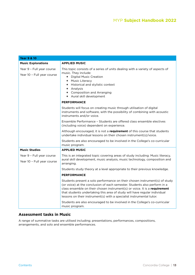| <b>Year 9 &amp; 10</b>                                  |                                                                                                                                                                                                                                                                                                                                                                                            |
|---------------------------------------------------------|--------------------------------------------------------------------------------------------------------------------------------------------------------------------------------------------------------------------------------------------------------------------------------------------------------------------------------------------------------------------------------------------|
| <b>Music Explorations</b>                               | <b>APPLIED MUSIC</b>                                                                                                                                                                                                                                                                                                                                                                       |
| Year 9 - Full year course<br>Year 10 - Full year course | This topic consists of a series of units dealing with a variety of aspects of<br>music. They include:<br>+ Digital Music Creation<br>+ Music Literacy<br>+ Historical and stylistic context<br>+ Analysis<br>+ Composition and Arranging<br>+ Aural skill development                                                                                                                      |
|                                                         | <b>PERFORMANCE</b>                                                                                                                                                                                                                                                                                                                                                                         |
|                                                         | Students will focus on creating music through utilisation of digital<br>instruments and software, with the possibility of combining with acoustic<br>instruments and/or voice.                                                                                                                                                                                                             |
|                                                         | Ensemble Performance - Students are offered class ensemble electives<br>(including voice) dependent on experience.                                                                                                                                                                                                                                                                         |
|                                                         | Although encouraged, it is not a requirement of this course that students<br>undertake individual lessons on their chosen instrument(s)/voice.                                                                                                                                                                                                                                             |
|                                                         | Students are also encouraged to be involved in the College's co-curricular<br>music program.                                                                                                                                                                                                                                                                                               |
| <b>Music Studies</b>                                    | <b>APPLIED MUSIC</b>                                                                                                                                                                                                                                                                                                                                                                       |
| Year 9 - Full year course                               | This is an integrated topic covering areas of study including: Music literacy,                                                                                                                                                                                                                                                                                                             |
| Year 10 - Full year course                              | aural skill development, music analysis, music technology, composition and<br>arranging.                                                                                                                                                                                                                                                                                                   |
|                                                         | Students study theory at a level appropriate to their previous knowledge.                                                                                                                                                                                                                                                                                                                  |
|                                                         | <b>PERFORMANCE</b>                                                                                                                                                                                                                                                                                                                                                                         |
|                                                         | Students present a solo performance on their chosen instrument(s) of study<br>(or voice) at the conclusion of each semester. Students also perform in a<br>class ensemble on their chosen instrument(s) or voice. It is a requirement<br>that students undertaking this area of study will have regular individual<br>lessons on their instrument(s) with a specialist instrumental tutor. |
|                                                         | Students are also encouraged to be involved in the College's co-curricular<br>music program.                                                                                                                                                                                                                                                                                               |

#### **Assessment tasks in Music**

A range of summative tasks are utilised including; presentations, performances, compositions, arrangements, and solo and ensemble performances.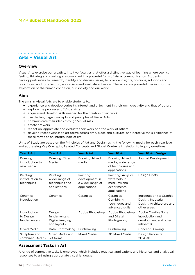#### <span id="page-13-0"></span>Arts – Visual Art

#### **Overview**

Visual Arts exercise our creative, intuitive faculties that offer a distinctive way of learning where seeing, feeling, thinking and creating are combined in a powerful form of visual communication. Students have opportunities to research, identify and discuss issues, to provide insights, opinions, solutions and resolutions; and to reflect on, appreciate and evaluate art works. The arts are a powerful medium for the exploration of the human condition, our society and our world.

#### **Aims**

The aims in Visual Arts are to enable students to:

- **+** experience and develop curiosity, interest and enjoyment in their own creativity and that of others
- **+** explore the processes of Visual Arts
- **+** acquire and develop skills needed for the creation of art work
- **+** use the language, concepts and principles of Visual Arts
- **+** communicate their ideas through Visual Arts
- **+** create art work
- **+** reflect on, appreciate and evaluate their work and the work of others
- **+** develop receptiveness to art forms across time, place and cultures, and perceive the significance of these forms as an integral part of life.

Units of Study are based on the Principles of Art and Design using the following media for each year level and addressing Key Concepts, Related Concepts and Global Contexts in relation to inquiry questions.

| <b>Year 7 Art</b>                          | <b>Year 8 Art</b>                                             | <b>Year 9 Art</b>                                               | Year 10 Art                                                                        | <b>Year 10 Art Design</b>                                                                 |
|--------------------------------------------|---------------------------------------------------------------|-----------------------------------------------------------------|------------------------------------------------------------------------------------|-------------------------------------------------------------------------------------------|
| Drawing:<br>introduction to<br>new media   | Drawing: Mixed<br>Media                                       | Drawing: Mixed<br>media                                         | Drawing: Mixed<br>media, wide range<br>of techniques and<br>applications           | Journal Development                                                                       |
| Painting:<br>introduction to<br>techniques | Painting:<br>wider range of<br>techniques and<br>applications | Painting:<br>development in<br>a wider range of<br>applications | Painting: Acrylics,<br>watercolour.<br>mediums and<br>experimental<br>applications | Design Briefs                                                                             |
| Ceramics:<br>Introduction                  | Ceramics                                                      | Ceramics                                                        | Ceramics:<br>Combining<br>techniques and<br>advanced skills                        | Introduction to: Graphic<br>Design, Industrial<br>Design, Architecture and<br>other areas |
| Introduction<br>to Design<br>fundamentals  | Design<br>fundamentals:<br>Digital imaging<br>and layouts     | Adobe Photoshop                                                 | Adobe Photoshop<br>and Digital<br>Photography                                      | Adobe Creative Suite:<br>introduction and<br>development and other<br>relevant ICT        |
| <b>MIxed Media</b>                         | <b>Basic Printmaking</b>                                      | Printmaking                                                     | Printmaking                                                                        | Concept Drawing                                                                           |
| Sculpture and<br>combined Medias           | Mixed Media and<br>3D forms                                   | Mixed Media                                                     | <b>3D Mixed Media</b>                                                              | Design Products:<br>2D & 3D                                                               |

#### **Assessment Tasks in Art**

A range of summative tasks is employed which includes practical applications and historical and analytical responses to art using appropriate visual language.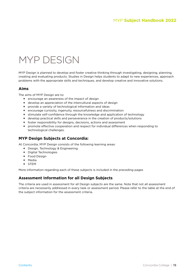# <span id="page-14-0"></span>MYP DESIGN

MYP Design is planned to develop and foster creative thinking through investigating, designing, planning, creating and evaluating products. Studies in Design helps students to adapt to new experiences, approach problems with the appropriate skills and techniques, and develop creative and innovative solutions.

#### **Aims**

The aims of MYP Design are to:

- **+** encourage an awareness of the impact of design
- **+** develop an appreciation of the intercultural aspects of design
- **+** provide a variety of technological information and ideas
- **+** encourage curiosity, ingenuity, resourcefulness and discrimination
- **+** stimulate self-confidence through the knowledge and application of technology
- **+** develop practical skills and perseverance in the creation of products/solutions
- **+** foster responsibility for designs, decisions, actions and assessment
- **+** promote effective cooperation and respect for individual differences when responding to technological challenges.

#### **MYP Design Subjects at Concordia:**

At Concordia, MYP Design consists of the following learning areas:

- **+** Design, Technology & Engineering
- **+** Digital Technologies
- **+** Food Design
- **+** Media
- **+** STEM

More information regarding each of these subjects is included in the preceding pages

#### **Assessment Information for all Design Subjects**

The criteria are used in assessment for all Design subjects are the same. Note that not all assessment criteria are necessarily addressed in every task or assessment period. Please refer to the table at the end of the subject information for the assessment criteria.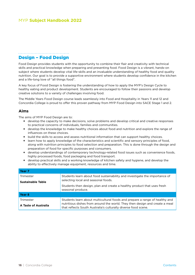#### <span id="page-15-0"></span>Design – Food Design

Food Design provides students with the opportunity to combine their flair and creativity with technical skills and practical knowledge when preparing and presenting food. Food Design is a vibrant, hands-on subject where students develop vital life-skills and an invaluable understanding of healthy food and quality nutrition. Our goal is to provide a supportive environment where students develop confidence in the kitchen and a life-long love of "all things food".

A key focus of Food Design is fostering the understanding of how to apply the MYP's Design Cycle to healthy eating and product development. Students are encouraged to follow their passions and develop creative solutions to a variety of challenges involving food.

The Middle Years Food Design course leads seamlessly into Food and Hospitality in Years 11 and 12 and Concordia College is proud to offer this proven pathway from MYP Food Design into SACE Stage 1 and 2.

#### **Aims**

The aims of MYP Food Design are to:

- **+** develop the capacity to make decisions, solve problems and develop critical and creative responses to practical concerns of individuals, families and communities.
- **+** develop the knowledge to make healthy choices about food and nutrition and explore the range of influences on these choices.
- **+** build the skills to access and assess nutritional information that can support healthy choices.
- **+** learn how to apply knowledge of the characteristics and scientific and sensory principles of food, along with nutrition principles to food selection and preparation. This is done through the design and preparation of food for specific purposes and consumers.
- **+** develop understandings of contemporary technology-related food issues such as convenience foods, highly processed foods, food packaging and food transport.
- **+** develop practical skills and a working knowledge of kitchen safety and hygiene, and develop the ability to effectively manage equipment, resources and time.

| Year <sub>7</sub>                                                                                                              |                                                                                                                                                                                                                              |
|--------------------------------------------------------------------------------------------------------------------------------|------------------------------------------------------------------------------------------------------------------------------------------------------------------------------------------------------------------------------|
| Students learn about food sustainability and investigate the importance of<br>Trimester<br>selecting local and seasonal foods. |                                                                                                                                                                                                                              |
| <b>Sustainable Table</b>                                                                                                       | Students then design, plan and create a healthy product that uses fresh<br>seasonal produce.                                                                                                                                 |
| Year <sub>8</sub>                                                                                                              |                                                                                                                                                                                                                              |
| Trimester<br>A Taste of Australia                                                                                              | Students learn about multicultural foods and prepare a range of healthy and<br>nutritious dishes from around the world. They then design and create a meal<br>that reflects South Australia's culturally diverse food scene. |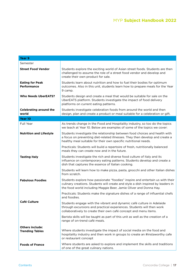| Year 9                                           |                                                                                                                                                                                                                                        |
|--------------------------------------------------|----------------------------------------------------------------------------------------------------------------------------------------------------------------------------------------------------------------------------------------|
| Semester                                         |                                                                                                                                                                                                                                        |
| <b>Street Food Vendor</b>                        | Students explore the exciting world of Asian street foods. Students are then<br>challenged to assume the role of a street food vendor and develop and<br>create their own product for sale.                                            |
| <b>Eating for Peak</b><br><b>Performance</b>     | Students learn about nutrition and how to fuel their bodies for optimum<br>outcomes. Also in this unit, students learn how to prepare meals for the Year<br>9 camp.                                                                    |
| <b>Who Needs UberEATS?</b>                       | Students design and create a meal that would be suitable for sale on the<br>UberEATS platform. Students investigate the impact of food delivery<br>platforms on current eating patterns.                                               |
| <b>Celebrating around the</b><br>world           | Students investigate celebration foods from around the world and then<br>design, plan and create a product or meal suitable for a celebration or gift.                                                                                 |
| Year 10                                          |                                                                                                                                                                                                                                        |
| Full Year                                        | As trends change in the Food and Hospitality industry, so too do the topics<br>we teach at Year 10. Below are examples of some of the topics we cover:                                                                                 |
| <b>Nutrition and Lifestyle</b>                   | Students investigate the relationship between food choices and health with<br>a focus on preventing diet-related illnesses. They then develop and create a<br>healthy meal suitable for their own specific nutritional needs.          |
|                                                  | Practicals: Students will build a repertoire of fresh, nutritionally balanced<br>meals they can create now and in the future.                                                                                                          |
| <b>Tasting Italy</b>                             | Students investigate the rich and diverse food culture of Italy and its<br>influence on contemporary eating patterns. Students develop and create a<br>dish that captures the essence of Italian cooking.                              |
|                                                  | Students will learn how to make pizza, pasta, gnocchi and other Italian dishes<br>from scratch.                                                                                                                                        |
| <b>Fabulous Foodies</b>                          | Students explore how passionate "foodies" inspire and entertain us with their<br>culinary creations. Students will create and style a dish inspired by leaders in<br>the food world including Maggie Beer, Jamie Oliver and Donna Hay. |
|                                                  | Practicals: Students make the signature dishes of a range of influential chefs<br>and foodies.                                                                                                                                         |
| <b>Café Culture</b>                              | Students engage with the vibrant and dynamic café culture in Adelaide<br>through excursions and practical experiences. Students will then work<br>collaboratively to create their own café concept and menu items.                     |
|                                                  | Barista skills will be taught as part of this unit as well as the creation of a<br>range of on-trend café meals.                                                                                                                       |
| <b>Others include:</b><br><b>Trending Tables</b> | Where students investigate the impact of social media on the food and<br>hospitality industry and then work in groups to create an #instaworthy cafe<br>or restaurant concept                                                          |
| <b>Foods of France</b>                           | Where students are asked to explore and implement the skills and traditions<br>of one of the great culinary nations.                                                                                                                   |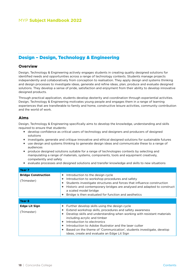### <span id="page-17-0"></span>Design – Design, Technology & Engineering

#### **Overview**

Design, Technology & Engineering actively engages students in creating quality designed solutions for identified needs and opportunities across a range of technology contexts. Students manage projects independently and collaboratively from conception to realisation. They apply design and systems thinking and design processes to investigate ideas, generate and refine ideas, plan, produce and evaluate designed solutions. They develop a sense of pride, satisfaction and enjoyment from their ability to develop innovative designed products.

Through practical application, students develop dexterity and coordination through experiential activities. Design, Technology & Engineering motivates young people and engages them in a range of learning experiences that are transferable to family and home, constructive leisure activities, community contribution and the world of work.

#### **Aims**

Design, Technology & Engineering specifically aims to develop the knowledge, understanding and skills required to ensure that students:

- **+** develop confidence as critical users of technology and designers and producers of designed solutions
- **+** investigate, generate and critique innovative and ethical designed solutions for sustainable futures
- **+** use design and systems thinking to generate design ideas and communicate these to a range of audiences
- **+** produce designed solutions suitable for a range of technologies contexts by selecting and manipulating a range of materials, systems, components, tools and equipment creatively, competently and safely
- **+** evaluate processes and designed solutions and transfer knowledge and skills to new situations

| Year <sub>7</sub>                         |                                                                                                                                                                                                                                                                                                                                                                                                                                    |
|-------------------------------------------|------------------------------------------------------------------------------------------------------------------------------------------------------------------------------------------------------------------------------------------------------------------------------------------------------------------------------------------------------------------------------------------------------------------------------------|
| <b>Bridge Construction</b><br>(Trimester) | Introduction to the design cycle<br>÷<br>Introduction to workshop procedures and safety<br>Students investigate structures and forces that influence construction<br>Historic and contemporary bridges are analysed and adapted to construct<br>a scaled model bridge<br>Bridge is then evaluated for function and aesthetics                                                                                                      |
| Year <sub>8</sub>                         |                                                                                                                                                                                                                                                                                                                                                                                                                                    |
| Edge Lit Sign<br>(Trimester)              | Further develop skills using the design cycle<br>Extend workshop skills, procedures and safety awareness<br>Develop skills and understanding when working with resistant materials<br>including acrylic and timber<br>Introduction to electronics<br>Introduction to Adobe Illustrator and the laser cutter<br>Based on the theme of 'Communication', students investigate, develop<br>ideas, create and evaluate an Edge Lit Sign |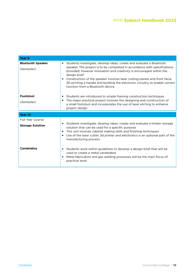| Year <sub>9</sub>                                  |                                                                                                                                                                                                                                                                                                                                                                                                                                                 |
|----------------------------------------------------|-------------------------------------------------------------------------------------------------------------------------------------------------------------------------------------------------------------------------------------------------------------------------------------------------------------------------------------------------------------------------------------------------------------------------------------------------|
| <b>Bluetooth Speaker</b><br>(Semester)             | + Students investigate, develop ideas, create and evaluate a Bluetooth<br>speaker. The project is to be completed in accordance with specifications<br>provided, however innovation and creativity is encouraged within the<br>design brief<br>+ Construction of the speaker involves laser cutting panels and front facia,<br>3D printing a handle and building the electronic circuitry to enable correct<br>function from a Bluetooth device |
| Footstool<br>(Semester)                            | + Students are introduced to simple framing construction techniques<br>The major practical project involves the designing and construction of<br>a small footstool and incorporates the use of laser etching to enhance<br>project design                                                                                                                                                                                                       |
| Year 10                                            |                                                                                                                                                                                                                                                                                                                                                                                                                                                 |
| <b>Full Year Course</b><br><b>Storage Solution</b> | + Students investigate, develop ideas, create and evaluate a timber storage<br>solution that can be used for a specific purpose<br>+ This unit involves cabinet making skills and finishing techniques<br>+ Use of the laser cutter, 3d printer and electronics is an optional part of the<br>manufacturing process                                                                                                                             |
| Candelabra                                         | Students work within guidelines to develop a design brief that will be<br>used to create a metal candelabra<br>+ Metal fabrication and gas welding processes will be the main focus of<br>practical work                                                                                                                                                                                                                                        |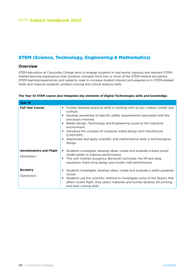<span id="page-19-0"></span>

# STEM (Science, Technology, Engineering & Mathematics)

#### **Overview**

STEM education at Concordia College aims to engage students in real-world, rigorous and relevant STEMrelated learning experiences that combine concepts from two or more of the STEM-related disciplines. STEM learning experiences and subjects, seek to increase student interest and experience in STEM-related fields and improve students' problem solving and critical analysis skills.

 $\ddotsc$ 

| Year 10                                      |                                                                                                                                                                                                                                                                                                                                                                                                                                                                                 |
|----------------------------------------------|---------------------------------------------------------------------------------------------------------------------------------------------------------------------------------------------------------------------------------------------------------------------------------------------------------------------------------------------------------------------------------------------------------------------------------------------------------------------------------|
| <b>Full Year Course</b>                      | + Further develop practical skills in working with acrylic, metals, timber and<br>corflute.<br>Develop awareness of specific safety requirements associated with the<br>processes involved.<br>Relate Design, Technology and Engineering issues to the Industrial<br>environment.<br>Introduce the concept of computer aided design and manufacture<br>$\ddot{\phantom{1}}$<br>(CADCAM).<br>Appreciate and apply scientific and mathematical skills in technological<br>design. |
| <b>Aerodynamics and Flight</b><br>(Semester) | Students investigate, develop ideas, create and evaluate a balsa wood<br>$\ddot{\phantom{1}}$<br>model glider to improve performance.<br>This unit involves buoyancy, Bernoulli's principle, the lift and drag<br>equations, fixed wing design and model craft performance.                                                                                                                                                                                                     |
| <b>Rocketry</b><br>(Semester)                | Students investigate, develop ideas, create and evaluate a water powered<br>rocket.<br><b>+</b> Students use the scientific method to investigate some of the factors that<br>affect rocket flight, they select materials and further develop 3D printing<br>and laser cutting skills.                                                                                                                                                                                          |

#### **The Year 10 STEM course also integrates key elements of Digital Technologies skills and knowledge.**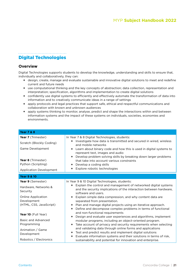# <span id="page-20-0"></span>Digital Technologies

#### **Overview**

Digital Technologies supports students to develop the knowledge, understanding and skills to ensure that, individually and collaboratively, they can:

- **+** design, create, manage and evaluate sustainable and innovative digital solutions to meet and redefine current and future needs
- **+** use computational thinking and the key concepts of abstraction; data collection, representation and interpretation; specification, algorithms and implementation to create digital solutions
- **+** confidently use digital systems to efficiently and effectively automate the transformation of data into information and to creatively communicate ideas in a range of settings
- **+** apply protocols and legal practices that support safe, ethical and respectful communications and collaboration with known and unknown audiences
- **+** apply systems thinking to monitor, analyse, predict and shape the interactions within and between information systems and the impact of these systems on individuals, societies, economies and environments.

| <b>Year 7 &amp; 8</b>            |                                                                                                                                                                                                     |
|----------------------------------|-----------------------------------------------------------------------------------------------------------------------------------------------------------------------------------------------------|
| Year 7 (Trimester)               | In Year 7 & 8 Digital Technologies, students:                                                                                                                                                       |
| Scratch (Blockly Coding)         | + Investigate how data is transmitted and secured in wired, wireless<br>and mobile networks                                                                                                         |
| Game Development                 | + Learn about binary code and how this is used in digital systems to<br>represent text, images and audio<br>+ Develop problem solving skills by breaking down larger problems                       |
| Year 8 (Trimester)               | that take into account various constraints                                                                                                                                                          |
| Python (Scripting)               | + Develop a coding skills                                                                                                                                                                           |
| <b>Application Development</b>   | + Explore robotic technologies                                                                                                                                                                      |
| <b>Year 9 &amp; 10</b>           |                                                                                                                                                                                                     |
| Year 9 (Semester)                | In Year 9 & 10 Digital Technologies, students:                                                                                                                                                      |
| Hardware, Networks &<br>Security | + Explain the control and management of networked digital systems<br>and the security implications of the interaction between hardware,<br>software and users.                                      |
| <b>Online Application</b>        | + Explain simple data compression, and why content data are                                                                                                                                         |
| Development                      | separated from presentation.                                                                                                                                                                        |
| (HTML, CSS, JavaScript)          | + Plan and manage digital projects using an iterative approach.<br>+ Define and decompose complex problems in terms of functional                                                                   |
| Year 10 (Full Year)              | and non-functional requirements                                                                                                                                                                     |
| Basic and Advanced               | + Design and evaluate user experiences and algorithms, implement<br>modular programs, including an object-oriented program.                                                                         |
| Programming                      | Take account of privacy and security requirements when selecting<br>$+$                                                                                                                             |
| Animation / Game<br>Development  | and validating data through online forms and applications<br>+ Test and predict results and implement digital solutions<br>Evaluate information systems and their solutions in terms of risk,<br>٠. |
| Robotics / Electronics           | sustainability and potential for innovation and enterprise.                                                                                                                                         |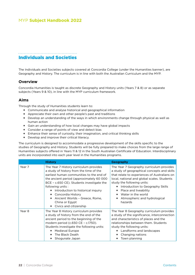#### <span id="page-21-0"></span>Individuals and Societies

The Individuals and Societies subjects covered at Concordia College (under the Humanities banner), are Geography and History. The curriculum is in line with both the Australian Curriculum and the MYP.

#### **Overview**

Concordia Humanities is taught as discrete Geography and History units (Years 7 & 8) or as separate subjects (Years 9 & 10), in line with the MYP curriculum framework.

#### **Aims**

Through the study of Humanities students learn to:

- **+** Communicate and analyse historical and geographical information
- **+** Appreciate their own and other people's past and traditions
- **+** Develop an understanding of the ways in which environments change through physical as well as human action
- **+** Gain an understanding of how local changes may have global impacts
- **+** Consider a range of points of view and detect bias
- **+** Enhance their sense of curiosity, their imagination, and critical thinking skills
- **+** Develop and improve their critical literacy.

The curriculum is designed to accommodate a progressive development of the skills specific to the studies of Geography and History. Students will be fully prepared to make choices from the large range of Humanities subjects offered in Years 11 & 12 in the South Australian Certificate of Education. Interdisciplinary units are incorporated into each year level in the Humanities programs.

|        | <b>History</b>                                                                                                                                                                                                                                                                                                                                                                                  | <b>Geography</b>                                                                                                                                                                                                                                                                                                                                         |
|--------|-------------------------------------------------------------------------------------------------------------------------------------------------------------------------------------------------------------------------------------------------------------------------------------------------------------------------------------------------------------------------------------------------|----------------------------------------------------------------------------------------------------------------------------------------------------------------------------------------------------------------------------------------------------------------------------------------------------------------------------------------------------------|
| Year 7 | The Year 7 History curriculum provides<br>a study of history from the time of the<br>earliest human communities to the end of<br>the ancient period (approximately 60 000<br>BCE - c.650 CE). Students investigate the<br>following units:<br>Introduction to historical inquiry<br>÷<br>+ Concordia History<br>Ancient Worlds - Greece, Rome,<br>China or Egypt<br>Civics and citizenship<br>٠ | The Year 7 Geography curriculum provides<br>a study of geographical concepts and skills<br>that relate to experiences of Australians on<br>local, national and global scales. Students<br>study the following units:<br>Introduction to Geography Skills<br>÷.<br>Place and liveability<br>Water in the world<br>Atmospheric and hydrological<br>hazards |
| Year 8 | The Year 8 History curriculum provides<br>a study of history from the end of the<br>ancient period to the beginning of the<br>modern period (c.650 CE - c.1750).<br>Students investigate the following units:<br><b>Medieval Europe</b><br>٠<br>The Black Death<br>Shogunate Japan                                                                                                              | The Year 8 Geography curriculum provides<br>a study of the significance, interconnection<br>and characteristics of places and the<br>relationships between them. Students<br>study the following units:<br>Landforms and landscapes<br>÷.<br>Changing nations<br>٠.<br>Town planning                                                                     |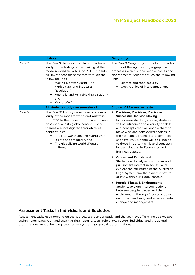|         | <b>History</b>                                                                                                                                                                                                                                                                                                                                                    | Geography                                                                                                                                                                                                                                                                                                                                                                                                                                                                                                                                                            |
|---------|-------------------------------------------------------------------------------------------------------------------------------------------------------------------------------------------------------------------------------------------------------------------------------------------------------------------------------------------------------------------|----------------------------------------------------------------------------------------------------------------------------------------------------------------------------------------------------------------------------------------------------------------------------------------------------------------------------------------------------------------------------------------------------------------------------------------------------------------------------------------------------------------------------------------------------------------------|
| Year 9  | The Year 9 History curriculum provides a<br>study of the history of the making of the<br>modern world from 1750 to 1918. Students<br>will investigate these themes through the<br>following units:<br>+ Making a better world (The<br>Agricultural and Industrial<br>Revolution)<br>Australia and Asia (Making a nation)<br>٠<br>and<br>+ World War 1             | The Year 9 Geography curriculum provides<br>a study of the significant geographical<br>processes which shape people, places and<br>environments. Students study the following<br>units:<br>+ Biomes and food security<br>Geographies of interconnections<br>٠                                                                                                                                                                                                                                                                                                        |
|         | All students study one semester of:                                                                                                                                                                                                                                                                                                                               | <b>Choice of 1 for one semester:</b>                                                                                                                                                                                                                                                                                                                                                                                                                                                                                                                                 |
| Year 10 | The Year 10 History curriculum provides a<br>study of the modern world and Australia<br>from 1918 to the present, with an emphasis<br>on Australia in its global context. These<br>themes are investigated through three<br>depth studies:<br>+ The interwar years and World War II<br>+ Rights and freedoms, and<br>+ The globalising world (Popular<br>culture) | <b>Decisions, Decisions, Decisions -</b><br>٠<br><b>Successful Decision Making</b><br>In this semester long course, students<br>will be introduced to a variety of skills<br>and concepts that will enable them to<br>make wise and considered choices in<br>their personal, financial and commercial<br>endeavours. Students will be exposed<br>to these important skills and concepts<br>by participating in Economics and<br>Business classes.<br><b>Crimes and Punishment</b><br>٠<br>Students will analyse how crimes and<br>punishment interact in society and |
|         |                                                                                                                                                                                                                                                                                                                                                                   | explore the structures of the Australian<br>Legal System and the dynamic nature<br>of law within our global context.<br><b>People, Places &amp; Environments</b><br>٠.                                                                                                                                                                                                                                                                                                                                                                                               |
|         |                                                                                                                                                                                                                                                                                                                                                                   | Students explore interconnections<br>between people, places and the<br>environment, through focused studies<br>on human wellbeing and environmental<br>change and management.                                                                                                                                                                                                                                                                                                                                                                                        |

#### **Assessment Tasks in Individuals and Societies**

Assessment tasks used depend on the subject, topic under study and the year level. Tasks include research assignments, paragraph and essay writing, reports, tests, role plays, posters, individual and group oral presentations, model building, sources analysis and graphical representations.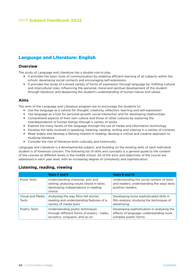### <span id="page-23-0"></span>Language and Literature: English

#### **Overview**

The study of Language and Literature has a double role to play.

- **+** It provides the basic tools of communication by enabling efficient learning of all subjects within the school, developing social contacts and encouraging self-expression.
- **+** It provides the study of a broad variety of forms of expression through language by: fulfilling cultural and intercultural roles; influencing the personal, moral and spiritual development of the student through literature; and deepening the student's understanding of human nature and values.

#### **Aims**

The aims of the Language and Literature program are to encourage the students to:

- **+** Use the language as a vehicle for thought, creativity, reflection, learning and self-expression
- **+** Use language as a tool for personal growth, social interaction and for developing relationships
- **+** Comprehend aspects of their own culture and those of other cultures by exploring the interdependence of human beings through a variety of works
- **+** Explore the many facets of the language through the use of media and information technology
- **+** Develop the skills involved in speaking, listening, reading, writing and viewing in a variety of contexts
- **+** Read widely and develop a lifelong interest in reading; develop a critical and creative approach to studying literature
- **+** Consider the role of literature both culturally and historically.

Language and Literature is a developmental subject, and building on the existing skills of each individual student is of foremost concern. The following list of skills and concepts is a general guide to the content of the courses at different levels in the middle school. All of the aims and objectives of the course are addressed in each year level, with an increasing degree of complexity and sophistication.

|                           | Years 7 and 8                                                                                                                    | <b>Years 9 and 10</b>                                                                                          |
|---------------------------|----------------------------------------------------------------------------------------------------------------------------------|----------------------------------------------------------------------------------------------------------------|
| Prose Texts               | Understanding character, plot and<br>setting; analysing issues raised in texts;<br>developing independence in reading<br>choice. | Understanding the social context of texts<br>and readers; understanding the ways texts<br>position readers.    |
| Visual and Media<br>Texts | Analysing the way films tell stories;<br>reading and understanding features of a<br>variety of media texts                       | Developing more sophisticated skills in<br>film analysis; studying the techniques of<br>advertising.           |
| Poetry Texts              | Understanding poetic techniques<br>through different forms of poetry - haiku,<br>acrostics, cinquains, and so on.                | Developing sophistication in analysing the<br>effects of language; understanding more<br>complex poetic forms. |

#### **Listening, reading, viewing**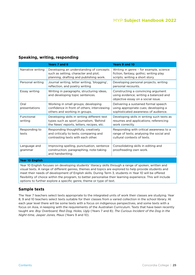### **Speaking, writing, responding**

|                         | Years 7 and 8                                                                                                                       | <b>Years 9 and 10</b>                                                                                                |
|-------------------------|-------------------------------------------------------------------------------------------------------------------------------------|----------------------------------------------------------------------------------------------------------------------|
| Narrative writing       | Developing an understanding of concepts<br>such as setting, character and plot;<br>planning, drafting and publishing work.          | Writing in genre - for example, science<br>fiction, fantasy, gothic; writing play<br>scripts; writing a short story. |
| Personal writing        | Journal writing, letter writing, 'blogging',<br>reflection, and poetry writing                                                      | Developing personal projects, writing<br>personal recounts.                                                          |
| Essay writing           | Writing in paragraphs, structuring ideas,<br>and developing topic sentences.                                                        | Constructing a convincing argument<br>using evidence; writing a balanced and<br>objective essay on a social issue.   |
| Oral<br>presentations   | Working in small groups; developing<br>confidence in front of others; interviewing<br>others and working in groups.                 | Delivering a sustained formal speech<br>using appropriate cues; developing a<br>sophisticated awareness of audience. |
| Functional<br>writing   | Developing skills in writing different text<br>types such as sport journalism, 'Behind<br>the News' reports, letters, recipes, etc. | Developing skills in writing such texts as<br>resumes and applications; referencing<br>work correctly.               |
| Responding to<br>texts  | Responding thoughtfully, creatively<br>and critically to texts; comparing and<br>contrasting texts with each other.                 | Responding with critical awareness to a<br>range of texts; analysing the social and<br>cultural contexts of texts.   |
| Language and<br>grammar | Improving spelling, punctuation, sentence<br>construction, paragraphing, note-taking<br>and handwriting.                            | Consolidating skills in editing and<br>proofreading own work.                                                        |

#### **Year 10 English**

Year 10 English focuses on developing students' literacy skills through a range of spoken, written and visual texts. A range of different genres, themes and topics are explored to help provide students and meet their needs of development of English skills. During Term 3, students in Year 10 will be offered flexibility of choice within the program, to better personalise their learning experience. This will include options to further explore a specific genre, theme or type of text.

#### **Sample texts**

The Year 7 teachers select texts appropriate to the integrated units of work their classes are studying. Year 8, 9 and 10 teachers select texts suitable for their classes from a varied collection in the school library. At each year level there will be some texts with a focus on indigenous perspectives, and some texts with a focus on Asia, in keeping with the requirements of the Australian Curriculum. Texts that have been recently taught are: *Boy Overboard, Red Dog, Holes, Ugly* (Years 7 and 8); *The Curious Incident of the Dog in the Night-time, Jasper Jones, Maus* (Years 9 and 10).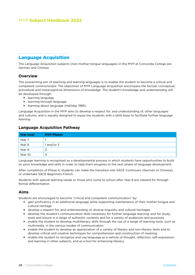#### <span id="page-25-0"></span>Language Acquisition

The Language Acquisition subjects (non-mother-tongue languages) in the MYP at Concordia College are German and Chinese.

#### **Overview**

The overarching aim of teaching and learning languages is to enable the student to become a critical and competent communicator. The objectives of MYP Language Acquisition encompass the factual, conceptual, procedural and metacognitive dimensions of knowledge. The student's knowledge and understanding will be developed through:

- **+** learning language
- **+** learning through language
- **+** learning about language (Halliday 1985).

Language Acquisition in the MYP aims to develop a respect for, and understanding of, other languages and cultures, and is equally designed to equip the students with a skills base to facilitate further language learning.

#### **Language Acquisition Pathway**

| Year level | <b>MYP Phases</b> |
|------------|-------------------|
| Year 7     |                   |
| Year 8     | 1 and/or 2        |
| Year 9     | C                 |
| Year 10    | 4                 |

Language learning is recognised as a developmental process in which students have opportunities to build on prior knowledge and skills in order to help them progress to the next phase of language development.

After completion of Phase 4, students can make the transition into SACE Continuers (German or Chinese), or undertake SACE Beginners French.

Students with special learning needs or those who come to school after Year 8 are catered for through formal differentiation.

#### **Aims**

Students are encouraged to become "critical and competent communicators" by:

- **+** gain proficiency in an additional language while supporting maintenance of their mother tongue and cultural heritage
- **+** develop a respect for, and understanding of, diverse linguistic and cultural heritages
- **+** develop the student's communication skills necessary for further language learning, and for study, work and leisure in a range of authentic contexts and for a variety of audiences and purposes
- **+** enable the student to develop multiliteracy skills through the use of a range of learning tools, such as multimedia, in the various modes of communication
- **+** enable the student to develop an appreciation of a variety of literary and non-literary texts and to develop critical and creative techniques for comprehension and construction of meaning
- **+** enable the student to recognize and use language as a vehicle of thought, reflection, self-expression and learning in other subjects, and as a tool for enhancing literacy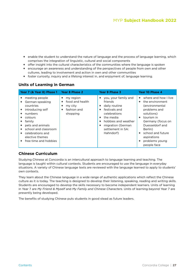- **+** enable the student to understand the nature of language and the process of language learning, which comprises the integration of linguistic, cultural and social components
- **+** offer insight into the cultural characteristics of the communities where the language is spoken
- **+** encourage an awareness and understanding of the perspectives of people from own and other cultures, leading to involvement and action in own and other communities
- **+** foster curiosity, inquiry and a lifelong interest in, and enjoyment of, language learning.

#### **Units of Learning in German**

| Year 7 (& Year 8) Phase 1 Year 8 Phase 2                                                                                                                                                                                               |                                                                                        | Year 9 Phase 3                                                                                                                                                                                              | Year 10 Phase 4                                                                                                                                                                                                                                    |
|----------------------------------------------------------------------------------------------------------------------------------------------------------------------------------------------------------------------------------------|----------------------------------------------------------------------------------------|-------------------------------------------------------------------------------------------------------------------------------------------------------------------------------------------------------------|----------------------------------------------------------------------------------------------------------------------------------------------------------------------------------------------------------------------------------------------------|
| meeting people<br>٠<br>German-speaking<br>٠.<br>countries<br>introducing self<br>$+$<br>numbers<br>colours<br>family<br>+ pets and animals<br>school and classroom<br>+ celebrations and<br>elective themes<br>+ free time and hobbies | my region<br>٠<br>food and health<br>٠<br>my city<br>۰<br>fashion and<br>٠<br>shopping | you, your family and<br>÷.<br>friends<br>daily routine<br>٠<br>festivals and<br>٠<br>celebrations<br>the media<br>٠<br>hobbies and weather<br>٠<br>migration (German<br>٠<br>settlement in SA:<br>Hahndorf) | where and how I live<br>÷.<br>the environment<br>÷<br>(environmental<br>problems and<br>solutions)<br>tourism in<br>٠<br>Germany (focus on<br>Duesseldorf and<br>Berlin)<br>school and future<br>٠<br>aspirations<br>problems young<br>people face |

#### **Chinese Curriculum**

Studying Chinese at Concordia is an intercultural approach to language learning and teaching. The language is taught within cultural contexts. Students are encouraged to use the language in everyday situations. A variety of Chinese language texts are reviewed with the language learned to apply to students' own contexts.

They learn about the Chinese language in a wide range of authentic applications which reflect the Chinese culture as it is today. The teaching is designed to develop their listening, speaking, reading and writing skills. Students are encouraged to develop the skills necessary to become independent learners. Units of learning in Year 7 are *My Friend & Myself* and *My Family and Chinese Characters.* Units of learning beyond Year 7 are presently being developed.

The benefits of studying Chinese puts students in good stead as future leaders.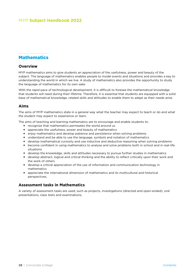#### <span id="page-27-0"></span>**Mathematics**

### **Overview**

MYP mathematics aims to give students an appreciation of the usefulness, power and beauty of the subject. The language of mathematics enables people to model events and situations and provides a key to understanding the world in which we live. A study of mathematics also provides the opportunity to study the language of mathematics for its own sake.

With the rapid pace of technological development, it is difficult to foresee the mathematical knowledge that students will need during their lifetime. Therefore, it is essential that students are equipped with a solid base of mathematical knowledge, related skills and attitudes to enable them to adapt as their needs arise.

#### **Aims**

The aims of MYP mathematics state in a general way what the teacher may expect to teach or do and what the student may expect to experience or learn.

The aims of teaching and learning mathematics are to encourage and enable students to:

- **+** recognize that mathematics permeates the world around us
- **+** appreciate the usefulness, power and beauty of mathematics
- **+** enjoy mathematics and develop patience and persistence when solving problems
- **+** understand and be able to use the language, symbols and notation of mathematics
- **+** develop mathematical curiosity and use inductive and deductive reasoning when solving problems
- **+** become confident in using mathematics to analyse and solve problems both in school and in real-life situations
- **+** develop the knowledge, skills and attitudes necessary to pursue further studies in mathematics
- **+** develop abstract, logical and critical thinking and the ability to reflect critically upon their work and the work of others
- **+** develop a critical appreciation of the use of information and communication technology in mathematics
- **+** appreciate the international dimension of mathematics and its multicultural and historical perspectives.

#### **Assessment tasks in Mathematics**

A variety of assessment tasks are used, such as projects, investigations (directed and open-ended), oral presentations, class tests and examinations.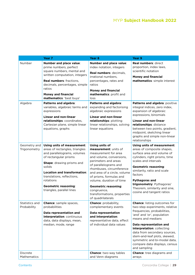|                               | Year <sub>7</sub>                                                                                                                                                                                                                                                                                          | Year <sub>8</sub>                                                                                                                                                                                                                                                                                                                                                        | Year 9                                                                                                                                                                                                                                                                                                                                                            |
|-------------------------------|------------------------------------------------------------------------------------------------------------------------------------------------------------------------------------------------------------------------------------------------------------------------------------------------------------|--------------------------------------------------------------------------------------------------------------------------------------------------------------------------------------------------------------------------------------------------------------------------------------------------------------------------------------------------------------------------|-------------------------------------------------------------------------------------------------------------------------------------------------------------------------------------------------------------------------------------------------------------------------------------------------------------------------------------------------------------------|
| Number                        | Number and place value:<br>prime numbers, perfect<br>square numbers, mental and<br>written computation, integers<br>Real numbers: fractions,<br>decimals, percentages, simple<br>ratios<br><b>Money and financial</b><br>mathematics: 'best buys'                                                          | Number and place value:<br>index notation, integers<br>Real numbers: decimals,<br>irrational numbers,<br>percentages, rates and<br>ratios<br><b>Money and financial</b><br>mathematics: profit and<br>loss                                                                                                                                                               | <b>Real numbers: direct</b><br>proportion, index laws,<br>scientific notation<br><b>Money and financial</b><br>mathematics: simple interest                                                                                                                                                                                                                       |
| Algebra                       | Patterns and algebra:<br>variables, algebraic terms and<br>expressions<br><b>Linear and non-linear</b><br>relationships: coordinates,<br>Cartesian plane, simple linear<br>equations, graphs                                                                                                               | Patterns and algebra:<br>expanding and factorising<br>algebraic expressions<br><b>Linear and non-linear</b><br>relationships: plotting<br>linear relationships, solving<br>linear equations                                                                                                                                                                              | Patterns and algebra: positive<br>integral indices, zero index,<br>expansion of algebraic<br>expressions, binomials<br><b>Linear and non-linear</b><br>relationships: distance<br>between two points, gradient,<br>midpoint, sketching linear<br>graphs and simple non-linear<br>relationships                                                                    |
| Geometry and<br>Trigonometry  | Using units of measurement:<br>areas of rectangles, triangles<br>and parallelograms, volumes<br>of rectangular prisms<br><b>Shape:</b> drawing prisms and<br>solids<br>Location and transformation:<br>translations, reflections,<br>rotations<br><b>Geometric reasoning:</b><br>triangles, parallel lines | <b>Using units of</b><br>measurement: units of<br>measurement for area<br>and volume, conversions,<br>perimeters and areas<br>of parallelograms and<br>rhombuses, circumference<br>and area of a circle, volume<br>of prisms, formulas and<br>volume, duration of time<br><b>Geometric reasoning:</b><br>congruence,<br>transformations, properties<br>of quadrilaterals | Using units of measurement:<br>areas of composite shapes,<br>surface area and volume of<br>cylinders, right prisms, time<br>scales and intervals<br><b>Geometric reasoning:</b><br>similarity, ratio and scale<br>factors<br><b>Pythagoras and</b><br>trigonometry: Pythagoras'<br>Theorem, similarity and sine,<br>cosine and tangent ratios                     |
| Statistics and<br>Probability | <b>Chance:</b> sample spaces,<br>probabilities<br>Data representation and<br>interpretation: continuous<br>data, data displays, mean,<br>median, mode, range                                                                                                                                               | <b>Chance:</b> probability,<br>complementary events<br><b>Data representation</b><br>and interpretation:<br>representative data, effect<br>of individual data values                                                                                                                                                                                                     | <b>Chance:</b> listing outcomes for<br>two-step experiments, relative<br>frequencies, probabilities,<br>'and' and 'or', population<br>means and medians<br>Data representation and<br>interpretation: collecting<br>data from secondary sources,<br>stem-and-leaf plots, skewed,<br>symmetric and bi-modal data,<br>compare data displays, census<br>and sampling |
| Discrete<br>Mathematics       |                                                                                                                                                                                                                                                                                                            | <b>Chance:</b> two-way tables<br>and Venn diagrams                                                                                                                                                                                                                                                                                                                       | <b>Chance:</b> tree diagrams and<br>arrays                                                                                                                                                                                                                                                                                                                        |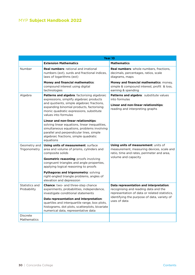|                                | Year 10                                                                                                                                                                                                                                |                                                                                                                                        |  |
|--------------------------------|----------------------------------------------------------------------------------------------------------------------------------------------------------------------------------------------------------------------------------------|----------------------------------------------------------------------------------------------------------------------------------------|--|
|                                | <b>Extension Mathematics</b>                                                                                                                                                                                                           | <b>Mathematics</b>                                                                                                                     |  |
| Number                         | <b>Real numbers:</b> rational and irrational<br>numbers (ext), surds and fractional indices,<br>laws of logarithms (ext)                                                                                                               | Real numbers: whole numbers, fractions,<br>decimals, percentages, ratios, scale<br>diagrams, maps                                      |  |
|                                | Money and financial mathematics:<br>compound interest using digital<br>technologies                                                                                                                                                    | <b>Money and financial mathematics: money,</b><br>simple & compound interest, profit & loss,<br>earning & spending                     |  |
| Algebra                        | Patterns and algebra: factorising algebraic<br>expressions, simplify algebraic products                                                                                                                                                | Patterns and algebra: substitute values<br>into formulas                                                                               |  |
|                                | and quotients, simple algebraic fractions,<br>expanding binomial products, factorising<br>monic quadratic expressions, substitute<br>values into formulas                                                                              | Linear and non-linear relationships:<br>reading and interpreting graphs                                                                |  |
|                                | Linear and non-linear relationships:<br>solving linear equations, linear inequalities,<br>simultaneous equations, problems involving<br>parallel and perpendicular lines, simple<br>algebraic fractions, simple quadratic<br>equations |                                                                                                                                        |  |
| Geometry and<br>Trigonometry   | Using units of measurement: surface<br>area and volume of prisms, cylinders and<br>composite solids                                                                                                                                    | <b>Using units of measurement: units of</b><br>measurement, measuring devices, scale and<br>ratio, time and rates, perimeter and area, |  |
|                                | <b>Geometric reasoning: proofs involving</b><br>congruent triangles and angle properties,<br>applying logical reasoning to proofs                                                                                                      | volume and capacity                                                                                                                    |  |
|                                | Pythagoras and trigonometry: solving<br>right-angled triangle problems, angles of<br>elevation and depression                                                                                                                          |                                                                                                                                        |  |
| Statistics and<br>Probability  | <b>Chance:</b> two- and three-step chance<br>experiments, probabilities, independence,<br>investigate conditional statements                                                                                                           | Data representation and interpretation:<br>recognising and reading data and the<br>representation of data or related statistics,       |  |
|                                | Data representation and interpretation:<br>quartiles and interquartile range, box plots,<br>histograms, dot plots, scatterplots, bivariate<br>numerical data, representative data                                                      | identifying the purpose of data, variety of<br>uses of data                                                                            |  |
| <b>Discrete</b><br>Mathematics |                                                                                                                                                                                                                                        |                                                                                                                                        |  |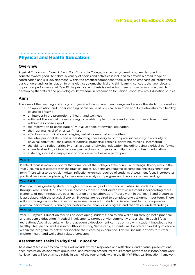## <span id="page-30-0"></span>Physical and Health Education

#### **Overview**

Physical Education in Years 7, 8 and 9 at Concordia College, is an activity-based program designed to educate toward good life habits. A variety of sports and activities is included to provide a broad range of coordination and skill development. Within the practical component, there is also an emphasis on integrating basic understandings in relation to physiological, biomechanical and skill learning concepts that are relevant to practical performance. At Year 10 the practical emphasis is similar but there is more lesson time given to developing theoretical and physiological knowledge in preparation for Senior School Physical Education studies.

#### **Aims**

The aims of the teaching and study of physical education are to encourage and enable the student to develop:

- **+** an appreciation and understanding of the value of physical education and its relationship to a healthy, balanced lifestyle
- **+** an interest in the promotion of health and wellness
- **+** sufficient theoretical understanding to be able to plan for safe and efficient fitness development within their chosen sport
- **+** the motivation to participate fully in all aspects of physical education
- **+** their optimal level of physical fitness
- **+** effective communication strategies, verbal, non-verbal and written
- **+** the inter-personal skills and understandings necessary to participate successfully in a variety of physical activities – for example: learning, practising, refining, adapting, thinking, interacting
- **+** the ability to reflect critically on all aspects of physical education, including being a critical performer
- **+** an understanding of international perspectives on physical activity, sport and health education
- **+** a lifelong interest in enjoyment of physical activities as a participant.

#### **Year 7**

Practical focus is mainly on sports that form part of the College's extra-curricular offerings. Theory work in the Year 7 course is associated with the practical topics. Students are required to complete one assignment per term. There will also be regular written reflection exercises required of students. Assessment focus incorporates practical performance, planning for performance, analysis of progress and theoretical understandings.

#### **Year 8 & 9**

Practical focus gradually shifts through a broader range of sport and activities. As students move through Year 8 and 9 PE, the course becomes more student driven with assessment incorporating more elements of peer interaction, peer instruction and collaboration. Theory work in the Year 8 and 9 courses is associated with the practical topics. Students are required to complete one assignment per term. There will also be regular written reflection exercises required of students. Assessment focus incorporates practical performance, planning for performance, analysis of progress and theoretical understandings.

#### **Year 10**

Year 10 Physical Education focuses on developing students' health and wellbeing through both practical and academic education. Practical involvements target activity commonly undertaken in adult life as recreational/social pursuits, while the academic development centres on growing student knowledge for healthy lifestyle and wellness in adulthood. During Semester 2, students will be offered flexibility of choice within the program, to better personalise their learning experience. This will include options to further explore 'health and wellbeing' related concepts.

#### **Assessment Tasks in Physical Education**

Assessment tasks in practical topics will include written responses and reflections, audio-visual presentations, peer instruction, collaborative group work and meeting procedural requirements relevant to lessons/homework. Achievement will be against a rubric in each of the four criteria within the IB MYP Physical Education framework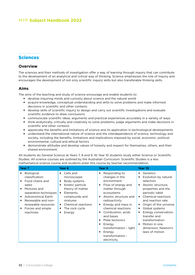#### <span id="page-31-0"></span>. . . . . . . . . . . . . . . Sciences

# **Overview**

The sciences and their methods of investigation offer a way of learning through inquiry that can contribute to the development of an analytical and critical way of thinking. Science emphasises the role of inquiry and encourages the development of not only scientific inquiry skills but also transferable thinking skills.

#### **Aims**

The aims of the teaching and study of science encourage and enable students to:

- **+** develop inquiring minds and curiosity about science and the natural world
- **+** acquire knowledge, conceptual understanding and skills to solve problems and make informed decisions in scientific and other contexts
- **+** develop skills of scientific inquiry to design and carry out scientific investigations and evaluate scientific evidence to draw conclusions
- **+** communicate scientific ideas, arguments and practical experiences accurately in a variety of ways
- **+** think analytically, critically and creatively to solve problems, judge arguments and make decisions in scientific and other contexts
- **+** appreciate the benefits and limitations of science and its application in technological developments
- **+** understand the international nature of science and the interdependence of science, technology and society, including the benefits, limitations and implications imposed by social, economic, political, environmental, cultural and ethical factors
- **+** demonstrate attitudes and develop values of honesty and respect for themselves, others, and their shared environment.

All students do General Science at Years 7, 8 and 9. At Year 10 students study either Science or Scientific Studies. All science courses are outlined by the Australian Curriculum. Scientific Studies is a less mathematical science course and students enter this course by teacher recommendation.

| Year <sub>7</sub> |                                                                                                                                                                                                        | Year <sub>8</sub>                         |                                                                                                                                                                             | Year 9           |                                                                                                                                                                                           | Year 10                    |                                                                                                                                                                                                   |
|-------------------|--------------------------------------------------------------------------------------------------------------------------------------------------------------------------------------------------------|-------------------------------------------|-----------------------------------------------------------------------------------------------------------------------------------------------------------------------------|------------------|-------------------------------------------------------------------------------------------------------------------------------------------------------------------------------------------|----------------------------|---------------------------------------------------------------------------------------------------------------------------------------------------------------------------------------------------|
| ٠<br>٠<br>٠<br>÷. | <b>Biological</b><br>classification<br>Food chains and<br>webs<br>Mixtures and<br>separation techniques<br><b>Astronomical Earth</b><br>Renewable and non-<br>renewable resources<br>Forces and simple | ٠<br>٠<br>$\ddot{\phantom{1}}$<br>÷.<br>٠ | + Cells and<br>microscopes<br>Body systems<br>Kinetic particle<br>theory of matter<br>Elements,<br>compounds and<br>mixtures<br><b>Chemical reactions</b><br>The rock cycle | ٠<br>٠<br>٠<br>٠ | Responding to<br>changes in the<br>environment<br>Flow of energy and<br>matter through<br>ecosystems<br>Atomic structure and<br>radioactivity<br>Energy and mass in<br>chemical reactions | ÷<br>٠<br>٠<br>÷<br>٠<br>٠ | Genetics<br>Evolution by natural<br>selection<br>Atomic structure,<br>properties and the<br>periodic table<br>Chemical reactions<br>and reaction rate<br>Origin of the universe<br>Global systems |
|                   | machines                                                                                                                                                                                               | ٠                                         | Energy                                                                                                                                                                      | ٠<br>٠<br>٠<br>٠ | Combustion, acids<br>and bases<br>Plate tectonics<br>Energy<br>transformation - light<br>Energy<br>transformation -<br>electricity                                                        | ٠<br>٠                     | Energy conservation,<br>transfer and<br>transformation<br>Motion in one<br>dimension, Newton's<br>laws of motion                                                                                  |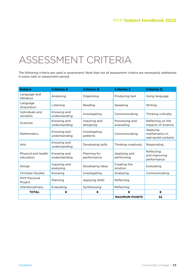# <span id="page-32-0"></span>ASSESSMENT CRITERIA

The following criteria are used in assessment. Note that not all assessment criteria are necessarily addressed in every task or assessment period.

| <b>Subject</b>                   | <b>Criterion A</b>           | <b>Criterion B</b>          | <b>Criterion C</b>           | <b>Criterion D</b>                                |
|----------------------------------|------------------------------|-----------------------------|------------------------------|---------------------------------------------------|
| Language and<br>literature       | Analysing                    | Organising                  | Producing text               | Using language                                    |
| Language<br>Acquisition          | Listening                    | Reading                     | Speaking                     | Writing                                           |
| Individuals and<br>societies     | Knowing and<br>understanding | Investigating               | Communicating                | Thinking critically                               |
| Sciences                         | Knowing and<br>understanding | Inquiring and<br>designing  | Processing and<br>evaluating | Reflecting on the<br>impacts of Science           |
| <b>Mathematics</b>               | Knowing and<br>understanding | Investigating<br>patterns   | Communicating                | Applying<br>mathematics in<br>real-world contexts |
| Arts                             | Knowing and<br>understanding | Developing skills           | Thinking creatively          | Responding                                        |
| Physical and health<br>education | Knowing and<br>understanding | Planning for<br>performance | Applying and<br>performing   | Reflecting<br>and improving<br>performance        |
| Design                           | Inquiring and<br>analysing   | Developing ideas            | Creating the<br>solution     | Evaluating                                        |
| <b>Christian Studies</b>         | Knowing                      | Investigating               | Analysing                    | Communicating                                     |
| MYP Personal<br>Project          | Planning                     | <b>Applying Skills</b>      | Reflecting                   |                                                   |
| Interdisciplinary                | Evaluating                   | Synthesising                | Reflecting                   |                                                   |
| <b>TOTAL</b>                     | 8                            | 8                           | 8                            | 8                                                 |
|                                  |                              |                             | <b>MAXIMUM POINTS</b>        | 32                                                |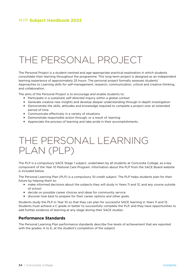# <span id="page-33-0"></span>THE PERSONAL PROJECT

The Personal Project is a student-centred and age-appropriate practical exploration in which students consolidate their learning throughout the programme. This long-term project is designed as an independent learning experience of approximately 25 hours. The personal project formally assesses students' Approaches to Learning skills for self-management, research, communication, critical and creative thinking, and collaboration.

The aims of the Personal Project is to encourage and enable students to:

- **+** Participate in a sustained, self-directed inquiry within a global context
- **+** Generate creative new insights and develop deeper understanding through in-depth investigation
- **+** Demonstrate the skills, attitudes and knowledge required to complete a project over an extended period of time
- **+** Communicate effectively in a variety of situations
- **+** Demonstrate responsible action through, or a result of, learning
- **+** Appreciate the process of learning and take pride in their accomplishments.

# THE PERSONAL LEARNING PLAN (PLP)

The PLP is a compulsory SACE Stage 1 subject, undertaken by all students at Concordia College, as a key component of the Year 10 Pastoral Care Program. Information about the PLP from the SACE Board website is included below.

The Personal Learning Plan (PLP) is a compulsory 10-credit subject. The PLP helps students plan for their future by helping them to:

- **+** make informed decisions about the subjects they will study in Years 11 and 12, and any course outside of school
- **+** decide on possible career choices and ideas for community service
- **+** discover how best to prepare for their career options and other goals.

Students study the PLP in Year 10 so that they can plan for successful SACE learning in Years 11 and 12. Students must achieve a C grade or better to successfully complete the PLP, and they have opportunities to add further evidence of learning at any stage during their SACE studies.

#### **Performance Standards**

The Personal Learning Plan performance standards describe five levels of achievement that are reported with the grades, A to E, at the student's completion of the subject.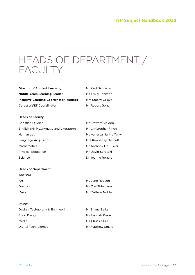# <span id="page-34-0"></span>HEADS OF DEPARTMENT / FACULTY

| <b>Director of Student Learning</b>     | Mr Paul Bannister |
|-----------------------------------------|-------------------|
| <b>Middle Years Learning Leader</b>     | Ms Emily Johnson  |
| Inclusive Learning Coordinator (Acting) | Mrs Stacey Grieve |
| <b>Careers/VET Coordinator</b>          | Mr Robert Gogel   |

#### **Heads of Faculty**

| Christian Studies                     | Mr Stewart Kleidon      |
|---------------------------------------|-------------------------|
| English (MYP Language and Literature) | Mr Christopher Finch    |
| Humanities                            | Ms Vanessa Narino-Terry |
| Language Acquisition                  | Mrs Kimberley Bennett   |
| Mathematics                           | Mr Anthony McCusker     |
| Physical Education                    | Mr David Serotzki       |
| Science                               | Dr Joanne Rogers        |

#### **Heads of Department**

| The Arts     |                 |
|--------------|-----------------|
| Art          | Ms Jane Robson  |
| Drama        | Ms Zoe Tidemann |
| <b>Music</b> | Mr Mathew Noble |
|              |                 |

| Design, Technology & Engineering | Mr Shane Beitz   |
|----------------------------------|------------------|
| Food Design                      | Ms Hannah Rosie  |
| Media                            | Ms Chrissie File |
| Digital Technologies             | Mr Matthew Smart |

*Design*